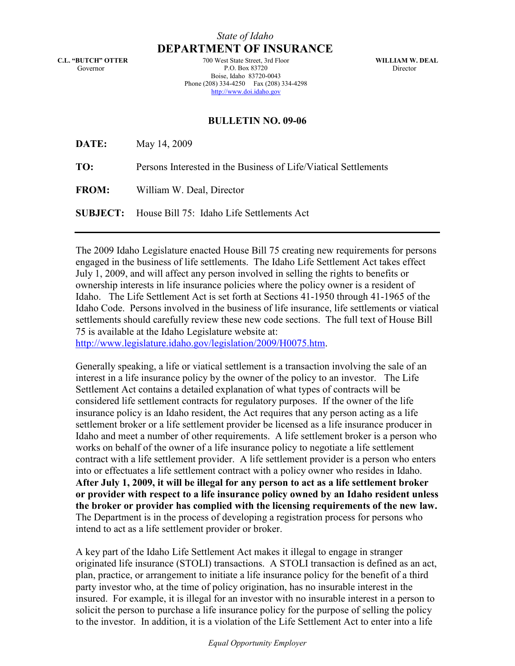## State of Idaho DEPARTMENT OF INSURANCE

C.L. "BUTCH" OTTER Governor

700 West State Street, 3rd Floor P.O. Box 83720 Boise, Idaho 83720-0043 Phone (208) 334-4250 Fax (208) 334-4298 http://www.doi.idaho.gov

WILLIAM W. DEAL Director

## BULLETIN NO. 09-06

| DATE:        | May 14, 2009                                                    |
|--------------|-----------------------------------------------------------------|
| TO:          | Persons Interested in the Business of Life/Viatical Settlements |
| <b>FROM:</b> | William W. Deal, Director                                       |
|              | <b>SUBJECT:</b> House Bill 75: Idaho Life Settlements Act       |

The 2009 Idaho Legislature enacted House Bill 75 creating new requirements for persons engaged in the business of life settlements. The Idaho Life Settlement Act takes effect July 1, 2009, and will affect any person involved in selling the rights to benefits or ownership interests in life insurance policies where the policy owner is a resident of Idaho. The Life Settlement Act is set forth at Sections 41-1950 through 41-1965 of the Idaho Code. Persons involved in the business of life insurance, life settlements or viatical settlements should carefully review these new code sections. The full text of House Bill 75 is available at the Idaho Legislature website at:

<http://www.legislature.idaho.gov/legislation/2009/H0075.htm>.

Generally speaking, a life or viatical settlement is a transaction involving the sale of an interest in a life insurance policy by the owner of the policy to an investor. The Life Settlement Act contains a detailed explanation of what types of contracts will be considered life settlement contracts for regulatory purposes. If the owner of the life insurance policy is an Idaho resident, the Act requires that any person acting as a life settlement broker or a life settlement provider be licensed as a life insurance producer in Idaho and meet a number of other requirements. A life settlement broker is a person who works on behalf of the owner of a life insurance policy to negotiate a life settlement contract with a life settlement provider. A life settlement provider is a person who enters into or effectuates a life settlement contract with a policy owner who resides in Idaho. After July 1, 2009, it will be illegal for any person to act as a life settlement broker or provider with respect to a life insurance policy owned by an Idaho resident unless the broker or provider has complied with the licensing requirements of the new law. The Department is in the process of developing a registration process for persons who intend to act as a life settlement provider or broker.

A key part of the Idaho Life Settlement Act makes it illegal to engage in stranger originated life insurance (STOLI) transactions. A STOLI transaction is defined as an act, plan, practice, or arrangement to initiate a life insurance policy for the benefit of a third party investor who, at the time of policy origination, has no insurable interest in the insured. For example, it is illegal for an investor with no insurable interest in a person to solicit the person to purchase a life insurance policy for the purpose of selling the policy to the investor. In addition, it is a violation of the Life Settlement Act to enter into a life